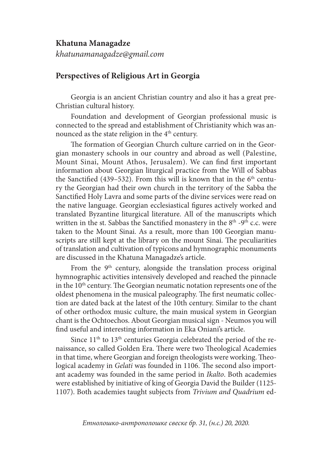## **Khatuna Managadze**

*khatunamanagadze@gmail.com*

## **Perspectives of Religious Art in Georgia**

Georgia is an ancient Christian country and also it has a great pre-Christian cultural history.

Foundation and development of Georgian professional music is connected to the spread and establishment of Christianity which was announced as the state religion in the 4<sup>th</sup> century.

The formation of Georgian Church culture carried on in the Georgian monastery schools in our country and abroad as well (Palestine, Mount Sinai, Mount Athos, Jerusalem). We can find first important information about Georgian liturgical practice from the Will of Sabbas the Sanctified (439–532). From this will is known that in the  $6<sup>th</sup>$  century the Georgian had their own church in the territory of the Sabba the Sanctified Holy Lavra and some parts of the divine services were read on the native language. Georgian ecclesiastical figures actively worked and translated Byzantine liturgical literature. All of the manuscripts which written in the st. Sabbas the Sanctified monastery in the  $8<sup>th</sup>$  -9<sup>th</sup> c.c. were taken to the Mount Sinai. As a result, more than 100 Georgian manuscripts are still kept at the library on the mount Sinai. The peculiarities of translation and cultivation of typicons and hymnographic monuments are discussed in the Khatuna Managadze's article.

From the 9<sup>th</sup> century, alongside the translation process original hymnographic activities intensively developed and reached the pinnacle in the  $10<sup>th</sup>$  century. The Georgian neumatic notation represents one of the oldest phenomena in the musical paleography. The first neumatic collection are dated back at the latest of the 10th century. Similar to the chant of other orthodox music culture, the main musical system in Georgian chant is the Ochtoechos. About Georgian musical sign - Neumos you will find useful and interesting information in Eka Oniani's article.

Since  $11<sup>th</sup>$  to  $13<sup>th</sup>$  centuries Georgia celebrated the period of the renaissance, so called Golden Era. There were two Theological Academies in that time, where Georgian and foreign theologists were working. Theological academy in *Gelati* was founded in 1106. The second also important academy was founded in the same period in *Ikalto*. Both academies were established by initiative of king of Georgia David the Builder (1125- 1107). Both academies taught subjects from *Trivium and Quadrium* ed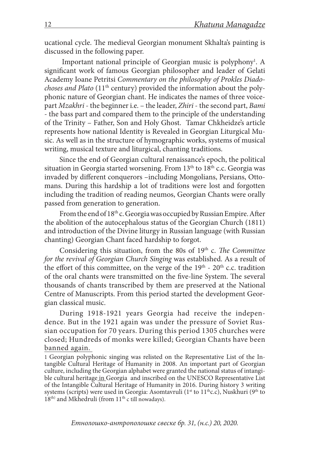ucational cycle. The medieval Georgian monument Skhalta's painting is discussed in the following paper.

Important national principle of Georgian music is polyphony<sup>1</sup>. A significant work of famous Georgian philosopher and leader of Gelati Academy Ioane Petritsi *Commentary on the philosophy of Prokles Diadochoses and Plato* (11th century) provided the information about the polyphonic nature of Georgian chant. He indicates the names of three voicepart *Mzakhri* - the beginner i.e. – the leader, *Zhiri* - the second part, *Bami* - the bass part and compared them to the principle of the understanding of the Trinity – Father, Son and Holy Ghost. Tamar Chkheidze's article represents how national Identity is Revealed in Georgian Liturgical Music. As well as in the structure of hymographic works, systems of musical writing, musical texture and liturgical, chanting traditions.

Since the end of Georgian cultural renaissance's epoch, the political situation in Georgia started worsening. From 13<sup>th</sup> to 18<sup>th</sup> c.c. Georgia was invaded by different conquerors –including Mongolians, Persians, Ottomans. During this hardship a lot of traditions were lost and forgotten including the tradition of reading neumos, Georgian Chants were orally passed from generation to generation.

From the end of 18<sup>th</sup> c. Georgia was occupied by Russian Empire. After the abolition of the autocephalous status of the Georgian Church (1811) and introduction of the Divine liturgy in Russian language (with Russian chanting) Georgian Chant faced hardship to forgot.

Considering this situation, from the 80s of 19<sup>th</sup> c. *The Committee for the revival of Georgian Church Singing* was established. As a result of the effort of this committee, on the verge of the  $19<sup>th</sup>$  -  $20<sup>th</sup>$  c.c. tradition of the oral chants were transmitted on the five-line System. The several thousands of chants transcribed by them are preserved at the National Centre of Manuscripts. From this period started the development Georgian classical music.

During 1918-1921 years Georgia had receive the independence. But in the 1921 again was under the pressure of Soviet Russian occupation for 70 years. During this period 1305 churches were closed; Hundreds of monks were killed; Georgian Chants have been banned again.

1 Georgian polyphonic singing was relisted on the Representative List of the Intangible Cultural Heritage of Humanity in 2008. An important part of Georgian culture, including the Georgian alphabet were granted the national status of intangible cultural heritage in Georgia and inscribed on the UNESCO Representative List of the Intangible Cultural Heritage of Humanity in 2016. During history 3 writing systems (scripts) were used in Georgia: Asomtavruli (1<sup>st</sup> to 11<sup>th</sup>c.c), Nuskhuri (9<sup>th</sup> to 18<sup>th)</sup> and Mkhedruli (from 11<sup>th</sup> c till nowadays).